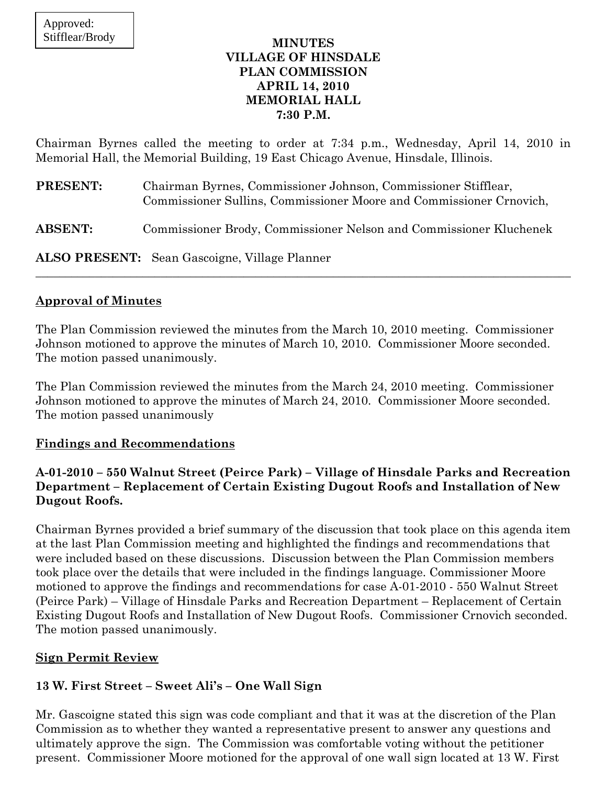### **MINUTES VILLAGE OF HINSDALE PLAN COMMISSION APRIL 14, 2010 MEMORIAL HALL 7:30 P.M.**

Chairman Byrnes called the meeting to order at 7:34 p.m., Wednesday, April 14, 2010 in Memorial Hall, the Memorial Building, 19 East Chicago Avenue, Hinsdale, Illinois.

| <b>PRESENT:</b> | Chairman Byrnes, Commissioner Johnson, Commissioner Stifflear,<br>Commissioner Sullins, Commissioner Moore and Commissioner Crnovich, |
|-----------------|---------------------------------------------------------------------------------------------------------------------------------------|
| <b>ABSENT:</b>  | Commissioner Brody, Commissioner Nelson and Commissioner Kluchenek                                                                    |
|                 | <b>ALSO PRESENT:</b> Sean Gascoigne, Village Planner                                                                                  |

# **Approval of Minutes**

The Plan Commission reviewed the minutes from the March 10, 2010 meeting. Commissioner Johnson motioned to approve the minutes of March 10, 2010. Commissioner Moore seconded. The motion passed unanimously.

The Plan Commission reviewed the minutes from the March 24, 2010 meeting. Commissioner Johnson motioned to approve the minutes of March 24, 2010. Commissioner Moore seconded. The motion passed unanimously

# **Findings and Recommendations**

# **A-01-2010 – 550 Walnut Street (Peirce Park) – Village of Hinsdale Parks and Recreation Department – Replacement of Certain Existing Dugout Roofs and Installation of New Dugout Roofs.**

Chairman Byrnes provided a brief summary of the discussion that took place on this agenda item at the last Plan Commission meeting and highlighted the findings and recommendations that were included based on these discussions. Discussion between the Plan Commission members took place over the details that were included in the findings language. Commissioner Moore motioned to approve the findings and recommendations for case A-01-2010 - 550 Walnut Street (Peirce Park) – Village of Hinsdale Parks and Recreation Department – Replacement of Certain Existing Dugout Roofs and Installation of New Dugout Roofs. Commissioner Crnovich seconded. The motion passed unanimously.

# **Sign Permit Review**

# **13 W. First Street – Sweet Ali's – One Wall Sign**

Mr. Gascoigne stated this sign was code compliant and that it was at the discretion of the Plan Commission as to whether they wanted a representative present to answer any questions and ultimately approve the sign. The Commission was comfortable voting without the petitioner present. Commissioner Moore motioned for the approval of one wall sign located at 13 W. First